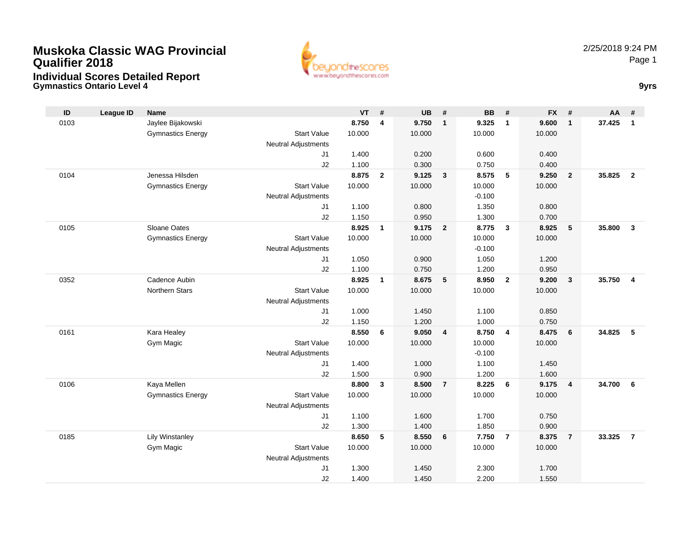

**Gymnastics Ontario Level 4 9yrs**

| ID   | League ID | <b>Name</b>              |                                  | <b>VT</b> | #              | <b>UB</b> | #                       | <b>BB</b>      | #                       | <b>FX</b> | #                       | AA     | #                       |
|------|-----------|--------------------------|----------------------------------|-----------|----------------|-----------|-------------------------|----------------|-------------------------|-----------|-------------------------|--------|-------------------------|
| 0103 |           | Jaylee Bijakowski        |                                  | 8.750     | 4              | 9.750     | $\mathbf{1}$            | 9.325          | $\mathbf{1}$            | 9.600     | $\overline{1}$          | 37.425 | $\overline{1}$          |
|      |           | <b>Gymnastics Energy</b> | <b>Start Value</b>               | 10.000    |                | 10.000    |                         | 10.000         |                         | 10.000    |                         |        |                         |
|      |           |                          | Neutral Adjustments              |           |                |           |                         |                |                         |           |                         |        |                         |
|      |           |                          | J1                               | 1.400     |                | 0.200     |                         | 0.600          |                         | 0.400     |                         |        |                         |
|      |           |                          | J2                               | 1.100     |                | 0.300     |                         | 0.750          |                         | 0.400     |                         |        |                         |
| 0104 |           | Jenessa Hilsden          |                                  | 8.875     | $\overline{2}$ | 9.125     | 3                       | 8.575          | 5                       | 9.250     | $\overline{2}$          | 35.825 | $\overline{2}$          |
|      |           | <b>Gymnastics Energy</b> | <b>Start Value</b>               | 10.000    |                | 10.000    |                         | 10.000         |                         | 10.000    |                         |        |                         |
|      |           |                          | <b>Neutral Adjustments</b>       |           |                |           |                         | $-0.100$       |                         |           |                         |        |                         |
|      |           |                          | J1                               | 1.100     |                | 0.800     |                         | 1.350          |                         | 0.800     |                         |        |                         |
|      |           |                          | J2                               | 1.150     |                | 0.950     |                         | 1.300          |                         | 0.700     |                         |        |                         |
| 0105 |           | Sloane Oates             |                                  | 8.925     | $\mathbf{1}$   | 9.175     | $\overline{2}$          | 8.775          | $\mathbf{3}$            | 8.925     | 5                       | 35.800 | $\overline{\mathbf{3}}$ |
|      |           | <b>Gymnastics Energy</b> | <b>Start Value</b>               | 10.000    |                | 10.000    |                         | 10.000         |                         | 10.000    |                         |        |                         |
|      |           |                          | <b>Neutral Adjustments</b>       |           |                |           |                         | $-0.100$       |                         |           |                         |        |                         |
|      |           |                          | J1                               | 1.050     |                | 0.900     |                         | 1.050          |                         | 1.200     |                         |        |                         |
|      |           |                          | J2                               | 1.100     |                | 0.750     |                         | 1.200          |                         | 0.950     |                         |        |                         |
| 0352 |           | Cadence Aubin            |                                  | 8.925     | $\mathbf{1}$   | 8.675     | $5\phantom{.0}$         | 8.950          | $\overline{2}$          | 9.200     | $\overline{\mathbf{3}}$ | 35.750 | $\overline{4}$          |
|      |           | <b>Northern Stars</b>    | <b>Start Value</b>               | 10.000    |                | 10.000    |                         | 10.000         |                         | 10.000    |                         |        |                         |
|      |           |                          | <b>Neutral Adjustments</b>       |           |                |           |                         |                |                         |           |                         |        |                         |
|      |           |                          | J1                               | 1.000     |                | 1.450     |                         | 1.100          |                         | 0.850     |                         |        |                         |
| 0161 |           |                          | J2                               | 1.150     |                | 1.200     |                         | 1.000          |                         | 0.750     |                         | 34.825 | 5                       |
|      |           | Kara Healey              |                                  | 8.550     | 6              | 9.050     | $\overline{\mathbf{4}}$ | 8.750          | $\overline{\mathbf{4}}$ | 8.475     | $6\phantom{.}6$         |        |                         |
|      |           | Gym Magic                | <b>Start Value</b>               | 10.000    |                | 10.000    |                         | 10.000         |                         | 10.000    |                         |        |                         |
|      |           |                          | <b>Neutral Adjustments</b><br>J1 | 1.400     |                | 1.000     |                         | $-0.100$       |                         | 1.450     |                         |        |                         |
|      |           |                          | J2                               | 1.500     |                | 0.900     |                         | 1.100<br>1.200 |                         | 1.600     |                         |        |                         |
| 0106 |           | Kaya Mellen              |                                  | 8.800     | 3              | 8.500     | $\overline{7}$          | 8.225          | 6                       | 9.175     | $\overline{4}$          | 34.700 | 6                       |
|      |           | <b>Gymnastics Energy</b> | <b>Start Value</b>               | 10.000    |                | 10.000    |                         | 10.000         |                         | 10.000    |                         |        |                         |
|      |           |                          | <b>Neutral Adjustments</b>       |           |                |           |                         |                |                         |           |                         |        |                         |
|      |           |                          | J1                               | 1.100     |                | 1.600     |                         | 1.700          |                         | 0.750     |                         |        |                         |
|      |           |                          | J2                               | 1.300     |                | 1.400     |                         | 1.850          |                         | 0.900     |                         |        |                         |
| 0185 |           | <b>Lily Winstanley</b>   |                                  | 8.650     | 5              | 8.550     | 6                       | 7.750          | $\overline{7}$          | 8.375     | $\overline{7}$          | 33.325 | $\overline{7}$          |
|      |           | Gym Magic                | <b>Start Value</b>               | 10.000    |                | 10.000    |                         | 10.000         |                         | 10.000    |                         |        |                         |
|      |           |                          | <b>Neutral Adjustments</b>       |           |                |           |                         |                |                         |           |                         |        |                         |
|      |           |                          | J <sub>1</sub>                   | 1.300     |                | 1.450     |                         | 2.300          |                         | 1.700     |                         |        |                         |
|      |           |                          | J2                               | 1.400     |                | 1.450     |                         | 2.200          |                         | 1.550     |                         |        |                         |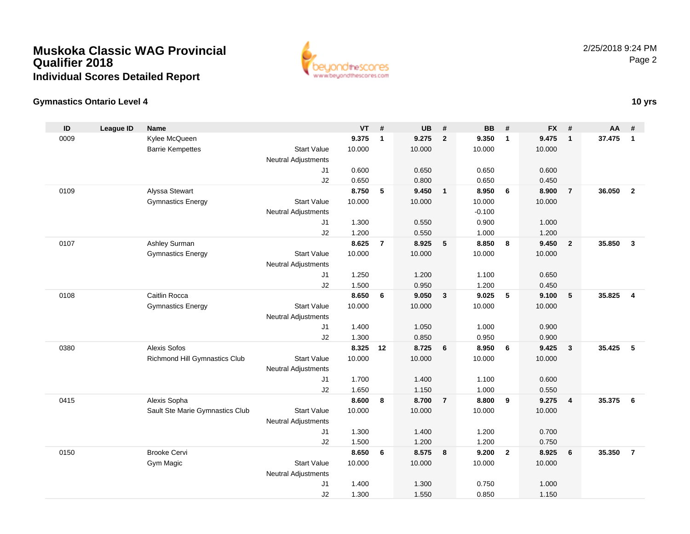

## **Gymnastics Ontario Level 4**

| ID   | <b>League ID</b> | <b>Name</b>                     |                            | <b>VT</b>      | #              | <b>UB</b>      | #                       | <b>BB</b>      | #                       | <b>FX</b>      | #                       | <b>AA</b> | #              |
|------|------------------|---------------------------------|----------------------------|----------------|----------------|----------------|-------------------------|----------------|-------------------------|----------------|-------------------------|-----------|----------------|
| 0009 |                  | Kylee McQueen                   |                            | 9.375          | $\mathbf{1}$   | 9.275          | $\overline{2}$          | 9.350          | $\mathbf{1}$            | 9.475          | $\mathbf{1}$            | 37.475    | $\mathbf{1}$   |
|      |                  | <b>Barrie Kempettes</b>         | <b>Start Value</b>         | 10.000         |                | 10.000         |                         | 10.000         |                         | 10.000         |                         |           |                |
|      |                  |                                 | <b>Neutral Adjustments</b> |                |                |                |                         |                |                         |                |                         |           |                |
|      |                  |                                 | J <sub>1</sub>             | 0.600          |                | 0.650          |                         | 0.650          |                         | 0.600          |                         |           |                |
|      |                  |                                 | J2                         | 0.650          |                | 0.800          |                         | 0.650          |                         | 0.450          |                         |           |                |
| 0109 |                  | Alyssa Stewart                  |                            | 8.750          | 5              | 9.450          | $\overline{1}$          | 8.950          | 6                       | 8.900          | $\overline{7}$          | 36.050    | $\overline{2}$ |
|      |                  | <b>Gymnastics Energy</b>        | <b>Start Value</b>         | 10.000         |                | 10.000         |                         | 10.000         |                         | 10.000         |                         |           |                |
|      |                  |                                 | <b>Neutral Adjustments</b> |                |                |                |                         | $-0.100$       |                         |                |                         |           |                |
|      |                  |                                 | J1                         | 1.300          |                | 0.550          |                         | 0.900          |                         | 1.000          |                         |           |                |
|      |                  |                                 | J2                         | 1.200          |                | 0.550          |                         | 1.000          |                         | 1.200          |                         |           |                |
| 0107 |                  | Ashley Surman                   |                            | 8.625          | $\overline{7}$ | 8.925          | 5                       | 8.850          | 8                       | 9.450          | $\overline{2}$          | 35.850    | $\mathbf{3}$   |
|      |                  | <b>Gymnastics Energy</b>        | <b>Start Value</b>         | 10.000         |                | 10.000         |                         | 10.000         |                         | 10.000         |                         |           |                |
|      |                  |                                 | <b>Neutral Adjustments</b> |                |                |                |                         |                |                         |                |                         |           |                |
|      |                  |                                 | J1                         | 1.250          |                | 1.200          |                         | 1.100          |                         | 0.650          |                         |           |                |
|      |                  |                                 | J2                         | 1.500          |                | 0.950          |                         | 1.200          |                         | 0.450          |                         |           |                |
| 0108 |                  | Caitlin Rocca                   |                            | 8.650          | 6              | 9.050          | $\overline{\mathbf{3}}$ | 9.025          | 5                       | 9.100          | $5\phantom{.0}$         | 35.825    | $\overline{4}$ |
|      |                  | <b>Gymnastics Energy</b>        | <b>Start Value</b>         | 10.000         |                | 10.000         |                         | 10.000         |                         | 10.000         |                         |           |                |
|      |                  |                                 | <b>Neutral Adjustments</b> |                |                |                |                         |                |                         |                |                         |           |                |
|      |                  |                                 | J <sub>1</sub>             | 1.400          |                | 1.050          |                         | 1.000          |                         | 0.900          |                         |           |                |
|      |                  |                                 | J2                         | 1.300          |                | 0.850          |                         | 0.950          |                         | 0.900          |                         |           |                |
| 0380 |                  | <b>Alexis Sofos</b>             |                            | 8.325          | 12             | 8.725          | 6                       | 8.950          | - 6                     | 9.425          | $\mathbf{3}$            | 35.425    | 5              |
|      |                  | Richmond Hill Gymnastics Club   | <b>Start Value</b>         | 10.000         |                | 10.000         |                         | 10.000         |                         | 10.000         |                         |           |                |
|      |                  |                                 | <b>Neutral Adjustments</b> |                |                |                |                         |                |                         |                |                         |           |                |
|      |                  |                                 | J1                         | 1.700          |                | 1.400          |                         | 1.100          |                         | 0.600          |                         |           |                |
|      |                  |                                 | J2                         | 1.650          |                | 1.150          |                         | 1.000          |                         | 0.550          |                         |           |                |
| 0415 |                  | Alexis Sopha                    |                            | 8.600          | 8              | 8.700          | $\overline{7}$          | 8.800          | 9                       | 9.275          | $\overline{\mathbf{4}}$ | 35.375    | - 6            |
|      |                  | Sault Ste Marie Gymnastics Club | <b>Start Value</b>         | 10.000         |                | 10.000         |                         | 10.000         |                         | 10.000         |                         |           |                |
|      |                  |                                 | <b>Neutral Adjustments</b> |                |                |                |                         |                |                         |                |                         |           |                |
|      |                  |                                 | J1                         | 1.300          |                | 1.400          |                         | 1.200          |                         | 0.700          |                         |           |                |
| 0150 |                  | <b>Brooke Cervi</b>             | J2                         | 1.500<br>8.650 | 6              | 1.200<br>8.575 | $\overline{\mathbf{8}}$ | 1.200<br>9.200 | $\overline{\mathbf{2}}$ | 0.750<br>8.925 | 6                       | 35.350    | $\overline{7}$ |
|      |                  |                                 | <b>Start Value</b>         | 10.000         |                | 10.000         |                         | 10.000         |                         | 10.000         |                         |           |                |
|      |                  | Gym Magic                       | <b>Neutral Adjustments</b> |                |                |                |                         |                |                         |                |                         |           |                |
|      |                  |                                 | J <sub>1</sub>             | 1.400          |                | 1.300          |                         | 0.750          |                         | 1.000          |                         |           |                |
|      |                  |                                 | J2                         | 1.300          |                | 1.550          |                         | 0.850          |                         | 1.150          |                         |           |                |
|      |                  |                                 |                            |                |                |                |                         |                |                         |                |                         |           |                |

## **10 yrs**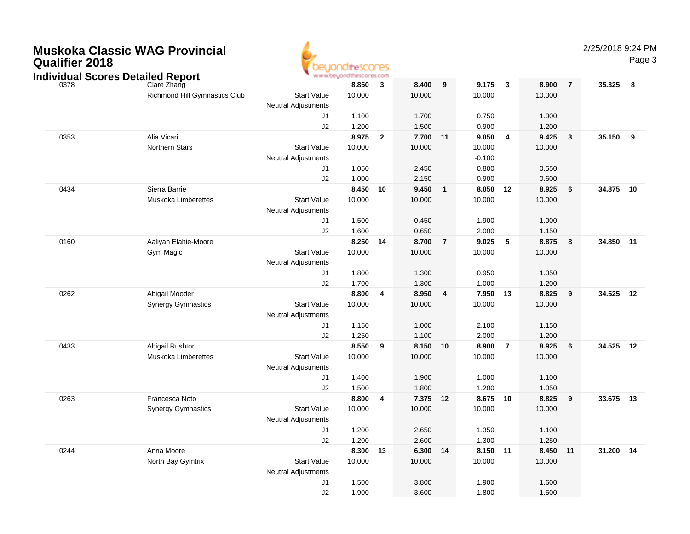| <b>Muskoka Classic WAG Provincial</b> |  |
|---------------------------------------|--|
| <b>Qualifier 2018</b>                 |  |



2/25/2018 9:24 PM

|      | <b>Individual Scores Detailed Report</b> |                            | בשי ושעשים<br>www.beyondthescores.com |                         |        |                  |          |                |          |                |           |                         |
|------|------------------------------------------|----------------------------|---------------------------------------|-------------------------|--------|------------------|----------|----------------|----------|----------------|-----------|-------------------------|
| 0378 | Clare Zhang                              |                            | 8.850                                 | $\mathbf{3}$            | 8.400  | $\boldsymbol{9}$ | 9.175    | $\mathbf{3}$   | 8.900    | $\overline{7}$ | 35.325    | $\overline{\mathbf{8}}$ |
|      | Richmond Hill Gymnastics Club            | <b>Start Value</b>         | 10.000                                |                         | 10.000 |                  | 10.000   |                | 10.000   |                |           |                         |
|      |                                          | Neutral Adjustments        |                                       |                         |        |                  |          |                |          |                |           |                         |
|      |                                          | J1                         | 1.100                                 |                         | 1.700  |                  | 0.750    |                | 1.000    |                |           |                         |
|      |                                          | J2                         | 1.200                                 |                         | 1.500  |                  | 0.900    |                | 1.200    |                |           |                         |
| 0353 | Alia Vicari                              |                            | 8.975                                 | $\overline{\mathbf{2}}$ | 7.700  | 11               | 9.050    | 4              | 9.425    | $\mathbf{3}$   | 35.150    | - 9                     |
|      | <b>Northern Stars</b>                    | <b>Start Value</b>         | 10.000                                |                         | 10.000 |                  | 10.000   |                | 10.000   |                |           |                         |
|      |                                          | <b>Neutral Adjustments</b> |                                       |                         |        |                  | $-0.100$ |                |          |                |           |                         |
|      |                                          | J1                         | 1.050                                 |                         | 2.450  |                  | 0.800    |                | 0.550    |                |           |                         |
|      |                                          | J2                         | 1.000                                 |                         | 2.150  |                  | 0.900    |                | 0.600    |                |           |                         |
| 0434 | Sierra Barrie                            |                            | 8.450                                 | 10                      | 9.450  | $\mathbf{1}$     | 8.050    | 12             | 8.925    | 6              | 34.875    | 10                      |
|      | Muskoka Limberettes                      | <b>Start Value</b>         | 10.000                                |                         | 10.000 |                  | 10.000   |                | 10.000   |                |           |                         |
|      |                                          | <b>Neutral Adjustments</b> |                                       |                         |        |                  |          |                |          |                |           |                         |
|      |                                          | J1                         | 1.500                                 |                         | 0.450  |                  | 1.900    |                | 1.000    |                |           |                         |
|      |                                          | J2                         | 1.600                                 |                         | 0.650  |                  | 2.000    |                | 1.150    |                |           |                         |
| 0160 | Aaliyah Elahie-Moore                     |                            | 8.250                                 | 14                      | 8.700  | $\overline{7}$   | 9.025    | 5              | 8.875    | 8              | 34.850    | 11                      |
|      | Gym Magic                                | <b>Start Value</b>         | 10.000                                |                         | 10.000 |                  | 10.000   |                | 10.000   |                |           |                         |
|      |                                          | <b>Neutral Adjustments</b> |                                       |                         |        |                  |          |                |          |                |           |                         |
|      |                                          | J <sub>1</sub>             | 1.800                                 |                         | 1.300  |                  | 0.950    |                | 1.050    |                |           |                         |
|      |                                          | J2                         | 1.700                                 |                         | 1.300  |                  | 1.000    |                | 1.200    |                |           |                         |
| 0262 | Abigail Mooder                           |                            | 8.800                                 | 4                       | 8.950  | 4                | 7.950 13 |                | 8.825    | 9              | 34.525 12 |                         |
|      | <b>Synergy Gymnastics</b>                | <b>Start Value</b>         | 10.000                                |                         | 10.000 |                  | 10.000   |                | 10.000   |                |           |                         |
|      |                                          | <b>Neutral Adjustments</b> |                                       |                         |        |                  |          |                |          |                |           |                         |
|      |                                          | J1                         | 1.150                                 |                         | 1.000  |                  | 2.100    |                | 1.150    |                |           |                         |
|      |                                          | J2                         | 1.250                                 |                         | 1.100  |                  | 2.000    |                | 1.200    |                |           |                         |
| 0433 | Abigail Rushton                          |                            | 8.550                                 | 9                       | 8.150  | 10               | 8.900    | $\overline{7}$ | 8.925    | 6              | 34.525    | 12                      |
|      | <b>Muskoka Limberettes</b>               | <b>Start Value</b>         | 10.000                                |                         | 10.000 |                  | 10.000   |                | 10.000   |                |           |                         |
|      |                                          | <b>Neutral Adjustments</b> |                                       |                         |        |                  |          |                |          |                |           |                         |
|      |                                          | J1                         | 1.400                                 |                         | 1.900  |                  | 1.000    |                | 1.100    |                |           |                         |
|      |                                          | J2                         | 1.500                                 |                         | 1.800  |                  | 1.200    |                | 1.050    |                |           |                         |
| 0263 | Francesca Noto                           |                            | 8.800                                 | $\overline{\mathbf{4}}$ | 7.375  | 12               | 8.675 10 |                | 8.825    | 9              | 33.675    | 13                      |
|      | <b>Synergy Gymnastics</b>                | <b>Start Value</b>         | 10.000                                |                         | 10.000 |                  | 10.000   |                | 10.000   |                |           |                         |
|      |                                          | Neutral Adjustments        |                                       |                         |        |                  |          |                |          |                |           |                         |
|      |                                          | J1                         | 1.200                                 |                         | 2.650  |                  | 1.350    |                | 1.100    |                |           |                         |
|      |                                          | J2                         | 1.200                                 |                         | 2.600  |                  | 1.300    |                | 1.250    |                |           |                         |
| 0244 | Anna Moore                               |                            | 8.300                                 | 13                      | 6.300  | 14               | 8.150    | 11             | 8.450 11 |                | 31.200    | 14                      |
|      | North Bay Gymtrix                        | <b>Start Value</b>         | 10.000                                |                         | 10.000 |                  | 10.000   |                | 10.000   |                |           |                         |
|      |                                          | Neutral Adjustments        |                                       |                         |        |                  |          |                |          |                |           |                         |
|      |                                          | J1                         | 1.500                                 |                         | 3.800  |                  | 1.900    |                | 1.600    |                |           |                         |
|      |                                          | J2                         | 1.900                                 |                         | 3.600  |                  | 1.800    |                | 1.500    |                |           |                         |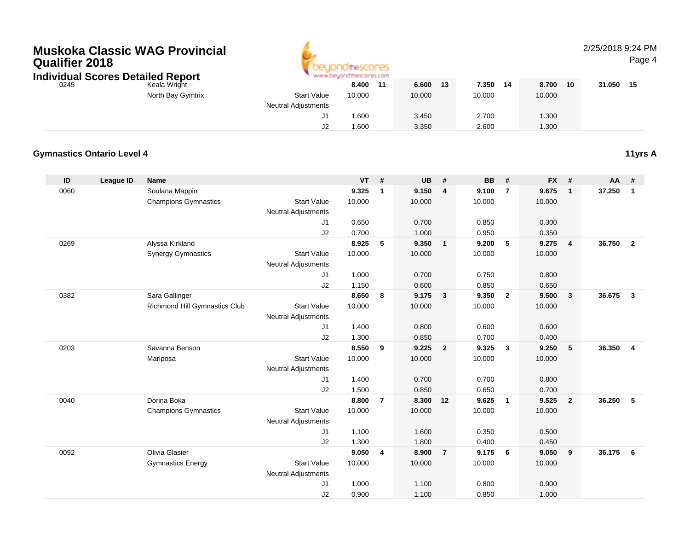# **Muskoka Classic WAG ProvincialQualifier 2018**



## 2/25/2018 9:24 PM

Page 4

| <b>Individual Scores Detailed Report</b> |  |                                                                                           |
|------------------------------------------|--|-------------------------------------------------------------------------------------------|
|                                          |  | $\mathcal{L} = \mathcal{L} = \mathcal{L} \mathcal{L} \mathcal{L} \mathcal{L} \mathcal{L}$ |

| 0245 | Keala Wright      |                            | 8.400  | -44 | 6.600  | 13 | 7.350  | 14 | 8.700  | 10 | 31.050 | 15 |
|------|-------------------|----------------------------|--------|-----|--------|----|--------|----|--------|----|--------|----|
|      | North Bay Gymtrix | <b>Start Value</b>         | 10.000 |     | 10.000 |    | 10.000 |    | 10.000 |    |        |    |
|      |                   | <b>Neutral Adjustments</b> |        |     |        |    |        |    |        |    |        |    |
|      |                   | ັ                          | .600   |     | 3.450  |    | 2.700  |    | 1.300  |    |        |    |
|      |                   | JZ                         | .600   |     | 3.350  |    | 2.600  |    | 1.300  |    |        |    |

## **Gymnastics Ontario Level 4**

| ID   | <b>League ID</b> | <b>Name</b>                   |                            | $VT$ # |                | <b>UB</b> | #              | <b>BB</b> | #              | <b>FX</b> | #                       | <b>AA</b> | #              |
|------|------------------|-------------------------------|----------------------------|--------|----------------|-----------|----------------|-----------|----------------|-----------|-------------------------|-----------|----------------|
| 0060 |                  | Soulana Mappin                |                            | 9.325  | 1              | 9.150     | 4              | 9.100     | $\overline{7}$ | 9.675     | $\mathbf{1}$            | 37.250    | $\mathbf{1}$   |
|      |                  | <b>Champions Gymnastics</b>   | <b>Start Value</b>         | 10.000 |                | 10.000    |                | 10.000    |                | 10.000    |                         |           |                |
|      |                  |                               | <b>Neutral Adjustments</b> |        |                |           |                |           |                |           |                         |           |                |
|      |                  |                               | J1                         | 0.650  |                | 0.700     |                | 0.850     |                | 0.300     |                         |           |                |
|      |                  |                               | J2                         | 0.700  |                | 1.000     |                | 0.950     |                | 0.350     |                         |           |                |
| 0269 |                  | Alyssa Kirkland               |                            | 8.925  | 5              | 9.350     | $\mathbf{1}$   | 9.200     | 5              | 9.275     | $\overline{4}$          | 36.750    | $\overline{2}$ |
|      |                  | <b>Synergy Gymnastics</b>     | <b>Start Value</b>         | 10.000 |                | 10.000    |                | 10.000    |                | 10.000    |                         |           |                |
|      |                  |                               | <b>Neutral Adjustments</b> |        |                |           |                |           |                |           |                         |           |                |
|      |                  |                               | J1                         | 1.000  |                | 0.700     |                | 0.750     |                | 0.800     |                         |           |                |
|      |                  |                               | J2                         | 1.150  |                | 0.600     |                | 0.850     |                | 0.650     |                         |           |                |
| 0382 |                  | Sara Gallinger                |                            | 8.650  | 8              | 9.175     | $\mathbf{3}$   | 9.350     | $\overline{2}$ | 9.500     | $\overline{\mathbf{3}}$ | 36.675    | $\mathbf{3}$   |
|      |                  | Richmond Hill Gymnastics Club | <b>Start Value</b>         | 10.000 |                | 10.000    |                | 10.000    |                | 10.000    |                         |           |                |
|      |                  |                               | <b>Neutral Adjustments</b> |        |                |           |                |           |                |           |                         |           |                |
|      |                  |                               | J1                         | 1.400  |                | 0.800     |                | 0.600     |                | 0.600     |                         |           |                |
|      |                  |                               | J2                         | 1.300  |                | 0.850     |                | 0.700     |                | 0.400     |                         |           |                |
| 0203 |                  | Savanna Benson                |                            | 8.550  | 9              | 9.225     | $\overline{2}$ | 9.325     | $\mathbf{3}$   | 9.250     | 5                       | 36.350    | $\overline{4}$ |
|      |                  | Mariposa                      | <b>Start Value</b>         | 10.000 |                | 10.000    |                | 10.000    |                | 10.000    |                         |           |                |
|      |                  |                               | <b>Neutral Adjustments</b> |        |                |           |                |           |                |           |                         |           |                |
|      |                  |                               | J1                         | 1.400  |                | 0.700     |                | 0.700     |                | 0.800     |                         |           |                |
|      |                  |                               | J2                         | 1.500  |                | 0.850     |                | 0.650     |                | 0.700     |                         |           |                |
| 0040 |                  | Dorina Boka                   |                            | 8.800  | $\overline{7}$ | 8.300     | 12             | 9.625     | $\mathbf{1}$   | 9.525     | $\overline{2}$          | 36.250    | 5              |
|      |                  | <b>Champions Gymnastics</b>   | <b>Start Value</b>         | 10.000 |                | 10.000    |                | 10.000    |                | 10.000    |                         |           |                |
|      |                  |                               | <b>Neutral Adjustments</b> |        |                |           |                |           |                |           |                         |           |                |
|      |                  |                               | J1                         | 1.100  |                | 1.600     |                | 0.350     |                | 0.500     |                         |           |                |
|      |                  |                               | J2                         | 1.300  |                | 1.800     |                | 0.400     |                | 0.450     |                         |           |                |
| 0092 |                  | Olivia Glasier                |                            | 9.050  | 4              | 8.900     | $\overline{7}$ | 9.175     | 6              | 9.050     | 9                       | 36.175    | 6              |
|      |                  | <b>Gymnastics Energy</b>      | <b>Start Value</b>         | 10.000 |                | 10.000    |                | 10.000    |                | 10.000    |                         |           |                |
|      |                  |                               | <b>Neutral Adjustments</b> |        |                |           |                |           |                |           |                         |           |                |
|      |                  |                               | J1                         | 1.000  |                | 1.100     |                | 0.800     |                | 0.900     |                         |           |                |
|      |                  |                               | J2                         | 0.900  |                | 1.100     |                | 0.850     |                | 1.000     |                         |           |                |

**11yrs A**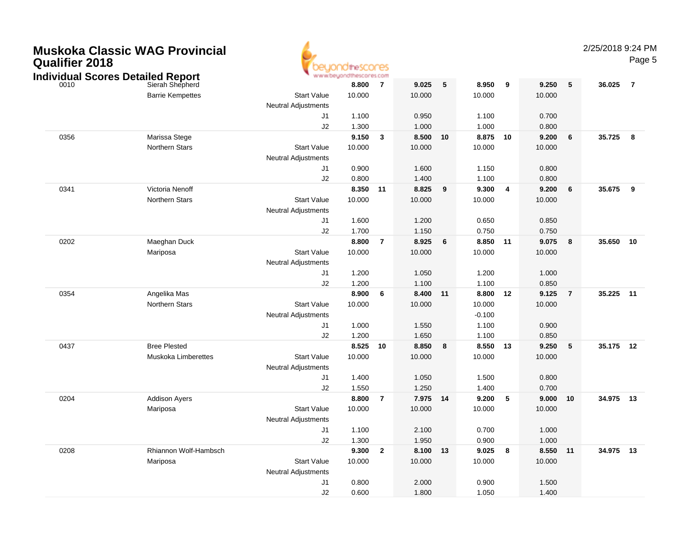| <b>Muskoka Classic WAG Provincial</b><br><b>Qualifier 2018</b><br><b>Individual Scores Detailed Report</b> |                            | www.beyond                                       | OtheSCOCES<br><b>Nescores.com</b> |                         |          |                 |          |                         |          |                 | 2/25/2018 9:24 PM | Page 5         |
|------------------------------------------------------------------------------------------------------------|----------------------------|--------------------------------------------------|-----------------------------------|-------------------------|----------|-----------------|----------|-------------------------|----------|-----------------|-------------------|----------------|
| 0010                                                                                                       | Sierah Shepherd            |                                                  | 8.800                             | $\overline{7}$          | 9.025    | $5\phantom{.0}$ | 8.950    | 9                       | 9.250    | $5\phantom{.0}$ | 36.025            | $\overline{7}$ |
|                                                                                                            | <b>Barrie Kempettes</b>    | <b>Start Value</b>                               | 10.000                            |                         | 10.000   |                 | 10.000   |                         | 10.000   |                 |                   |                |
|                                                                                                            |                            | Neutral Adjustments                              |                                   |                         |          |                 |          |                         |          |                 |                   |                |
|                                                                                                            |                            | J1                                               | 1.100                             |                         | 0.950    |                 | 1.100    |                         | 0.700    |                 |                   |                |
|                                                                                                            |                            | J2                                               | 1.300                             |                         | 1.000    |                 | 1.000    |                         | 0.800    |                 |                   |                |
| 0356                                                                                                       | Marissa Stege              |                                                  | 9.150                             | $\overline{\mathbf{3}}$ | 8.500    | 10              | 8.875    | 10                      | 9.200    | 6               | 35.725            | 8              |
|                                                                                                            | <b>Northern Stars</b>      | <b>Start Value</b><br><b>Neutral Adjustments</b> | 10.000                            |                         | 10.000   |                 | 10.000   |                         | 10.000   |                 |                   |                |
|                                                                                                            |                            | J1                                               | 0.900                             |                         | 1.600    |                 | 1.150    |                         | 0.800    |                 |                   |                |
|                                                                                                            |                            | J2                                               | 0.800                             |                         | 1.400    |                 | 1.100    |                         | 0.800    |                 |                   |                |
| 0341                                                                                                       | Victoria Nenoff            |                                                  | 8.350 11                          |                         | 8.825    | 9               | 9.300    | $\overline{\mathbf{4}}$ | 9.200    | 6               | 35.675            | 9              |
|                                                                                                            | <b>Northern Stars</b>      | <b>Start Value</b>                               | 10.000                            |                         | 10.000   |                 | 10.000   |                         | 10.000   |                 |                   |                |
|                                                                                                            |                            | Neutral Adjustments                              |                                   |                         |          |                 |          |                         |          |                 |                   |                |
|                                                                                                            |                            | J1                                               | 1.600                             |                         | 1.200    |                 | 0.650    |                         | 0.850    |                 |                   |                |
|                                                                                                            |                            | J2                                               | 1.700                             |                         | 1.150    |                 | 0.750    |                         | 0.750    |                 |                   |                |
| 0202                                                                                                       | Maeghan Duck               |                                                  | 8.800                             | $\overline{7}$          | 8.925    | 6               | 8.850    | $-11$                   | 9.075    | 8               | 35.650            | 10             |
|                                                                                                            | Mariposa                   | <b>Start Value</b>                               | 10.000                            |                         | 10.000   |                 | 10.000   |                         | 10.000   |                 |                   |                |
|                                                                                                            |                            | Neutral Adjustments                              |                                   |                         |          |                 |          |                         |          |                 |                   |                |
|                                                                                                            |                            | J1                                               | 1.200                             |                         | 1.050    |                 | 1.200    |                         | 1.000    |                 |                   |                |
|                                                                                                            |                            | J2                                               | 1.200                             |                         | 1.100    |                 | 1.100    |                         | 0.850    |                 |                   |                |
| 0354                                                                                                       | Angelika Mas               |                                                  | 8.900                             | $6\phantom{1}6$         | 8.400    | 11              | 8.800    | 12                      | 9.125    | $\overline{7}$  | 35.225            | 11             |
|                                                                                                            | <b>Northern Stars</b>      | <b>Start Value</b>                               | 10.000                            |                         | 10.000   |                 | 10.000   |                         | 10.000   |                 |                   |                |
|                                                                                                            |                            | Neutral Adjustments                              |                                   |                         |          |                 | $-0.100$ |                         |          |                 |                   |                |
|                                                                                                            |                            | J1                                               | 1.000                             |                         | 1.550    |                 | 1.100    |                         | 0.900    |                 |                   |                |
|                                                                                                            |                            | J2                                               | 1.200                             |                         | 1.650    |                 | 1.100    |                         | 0.850    |                 |                   |                |
| 0437                                                                                                       | <b>Bree Plested</b>        |                                                  | 8.525                             | 10                      | 8.850    | 8               | 8.550    | - 13                    | 9.250    | 5               | 35.175 12         |                |
|                                                                                                            | <b>Muskoka Limberettes</b> | <b>Start Value</b><br>Neutral Adjustments        | 10.000                            |                         | 10.000   |                 | 10.000   |                         | 10.000   |                 |                   |                |
|                                                                                                            |                            | J <sub>1</sub>                                   | 1.400                             |                         | 1.050    |                 | 1.500    |                         | 0.800    |                 |                   |                |
|                                                                                                            |                            | J2                                               | 1.550                             |                         | 1.250    |                 | 1.400    |                         | 0.700    |                 |                   |                |
| 0204                                                                                                       | <b>Addison Ayers</b>       |                                                  | 8.800                             | $\overline{7}$          | 7.975    | 14              | 9.200    | $-5$                    | 9.000    | 10              | 34.975            | 13             |
|                                                                                                            | Mariposa                   | <b>Start Value</b>                               | 10.000                            |                         | 10.000   |                 | 10.000   |                         | 10.000   |                 |                   |                |
|                                                                                                            |                            | Neutral Adjustments                              |                                   |                         |          |                 |          |                         |          |                 |                   |                |
|                                                                                                            |                            |                                                  | 1.100                             |                         | 2.100    |                 | 0.700    |                         | 1.000    |                 |                   |                |
|                                                                                                            |                            | J2                                               | 1.300                             |                         | 1.950    |                 | 0.900    |                         | 1.000    |                 |                   |                |
| 0208                                                                                                       | Rhiannon Wolf-Hambsch      |                                                  | 9.300 2                           |                         | 8.100 13 |                 | 9.025 8  |                         | 8.550 11 |                 | 34.975 13         |                |
|                                                                                                            | Mariposa                   | <b>Start Value</b>                               | 10.000                            |                         | 10.000   |                 | 10.000   |                         | 10.000   |                 |                   |                |
|                                                                                                            |                            | Neutral Adjustments                              |                                   |                         |          |                 |          |                         |          |                 |                   |                |
|                                                                                                            |                            | J1                                               | 0.800                             |                         | 2.000    |                 | 0.900    |                         | 1.500    |                 |                   |                |
|                                                                                                            |                            | J2                                               | 0.600                             |                         | 1.800    |                 | 1.050    |                         | 1.400    |                 |                   |                |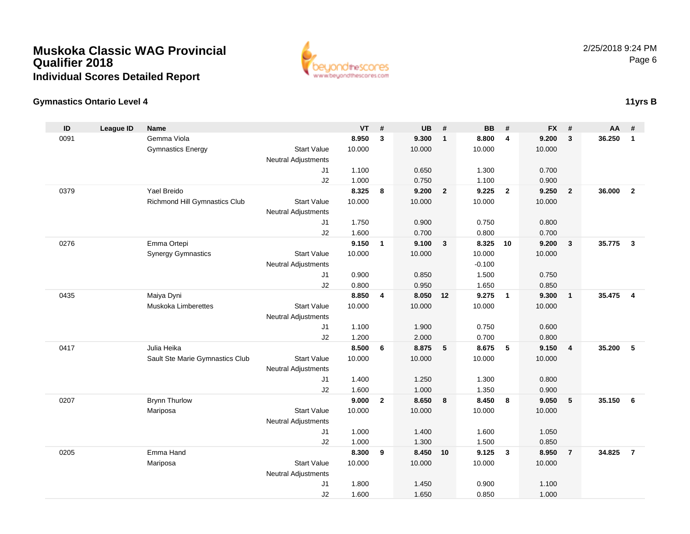

## **Gymnastics Ontario Level 4**

| ID   | <b>League ID</b> | <b>Name</b>                     |                            | <b>VT</b>      | #            | <b>UB</b>         | #                       | <b>BB</b>      | #                       | <b>FX</b>      | #              | AA     | #                       |
|------|------------------|---------------------------------|----------------------------|----------------|--------------|-------------------|-------------------------|----------------|-------------------------|----------------|----------------|--------|-------------------------|
| 0091 |                  | Gemma Viola                     |                            | 8.950          | $\mathbf{3}$ | 9.300             | $\overline{1}$          | 8.800          | $\overline{4}$          | 9.200          | $\mathbf{3}$   | 36.250 | $\mathbf{1}$            |
|      |                  | <b>Gymnastics Energy</b>        | <b>Start Value</b>         | 10.000         |              | 10.000            |                         | 10.000         |                         | 10.000         |                |        |                         |
|      |                  |                                 | Neutral Adjustments        |                |              |                   |                         |                |                         |                |                |        |                         |
|      |                  |                                 | J <sub>1</sub>             | 1.100          |              | 0.650             |                         | 1.300          |                         | 0.700          |                |        |                         |
|      |                  |                                 | J2                         | 1.000          |              | 0.750             |                         | 1.100          |                         | 0.900          |                |        |                         |
| 0379 |                  | Yael Breido                     |                            | 8.325          | 8            | 9.200             | $\overline{\mathbf{2}}$ | 9.225          | $\overline{2}$          | 9.250          | $\overline{2}$ | 36,000 | $\overline{2}$          |
|      |                  | Richmond Hill Gymnastics Club   | <b>Start Value</b>         | 10.000         |              | 10.000            |                         | 10.000         |                         | 10.000         |                |        |                         |
|      |                  |                                 | <b>Neutral Adjustments</b> |                |              |                   |                         |                |                         |                |                |        |                         |
|      |                  |                                 | J <sub>1</sub>             | 1.750<br>1.600 |              | 0.900<br>0.700    |                         | 0.750<br>0.800 |                         | 0.800<br>0.700 |                |        |                         |
| 0276 |                  | Emma Ortepi                     | J2                         | 9.150          | $\mathbf{1}$ | 9.100             | $\mathbf{3}$            | 8.325          | 10                      | 9.200          | $\mathbf{3}$   | 35.775 | $\mathbf{3}$            |
|      |                  | <b>Synergy Gymnastics</b>       | <b>Start Value</b>         | 10.000         |              | 10.000            |                         | 10.000         |                         | 10.000         |                |        |                         |
|      |                  |                                 | Neutral Adjustments        |                |              |                   |                         | $-0.100$       |                         |                |                |        |                         |
|      |                  |                                 | J1                         | 0.900          |              | 0.850             |                         | 1.500          |                         | 0.750          |                |        |                         |
|      |                  |                                 | J2                         | 0.800          |              | 0.950             |                         | 1.650          |                         | 0.850          |                |        |                         |
| 0435 |                  | Maiya Dyni                      |                            | 8.850          | 4            | 8.050             | 12                      | 9.275          | $\overline{1}$          | 9.300          | $\mathbf{1}$   | 35.475 | $\overline{\mathbf{4}}$ |
|      |                  | Muskoka Limberettes             | <b>Start Value</b>         | 10.000         |              | 10.000            |                         | 10.000         |                         | 10.000         |                |        |                         |
|      |                  |                                 | <b>Neutral Adjustments</b> |                |              |                   |                         |                |                         |                |                |        |                         |
|      |                  |                                 | J <sub>1</sub>             | 1.100          |              | 1.900             |                         | 0.750          |                         | 0.600          |                |        |                         |
|      |                  |                                 | J2                         | 1.200          |              | 2.000             |                         | 0.700          |                         | 0.800          |                |        |                         |
| 0417 |                  | Julia Heika                     |                            | 8.500          | 6            | 8.875             | $-5$                    | 8.675          | 5                       | 9.150          | $\overline{4}$ | 35.200 | 5                       |
|      |                  | Sault Ste Marie Gymnastics Club | <b>Start Value</b>         | 10.000         |              | 10.000            |                         | 10.000         |                         | 10.000         |                |        |                         |
|      |                  |                                 | <b>Neutral Adjustments</b> |                |              |                   |                         |                |                         |                |                |        |                         |
|      |                  |                                 | J1                         | 1.400          |              | 1.250             |                         | 1.300          |                         | 0.800          |                |        |                         |
|      |                  |                                 | J2                         | 1.600          |              | 1.000             |                         | 1.350          |                         | 0.900          |                |        |                         |
| 0207 |                  | <b>Brynn Thurlow</b>            |                            | 9.000          | $\mathbf{2}$ | 8.650             | 8                       | 8.450          | 8                       | 9.050          | 5              | 35.150 | 6                       |
|      |                  | Mariposa                        | <b>Start Value</b>         | 10.000         |              | 10.000            |                         | 10.000         |                         | 10.000         |                |        |                         |
|      |                  |                                 | <b>Neutral Adjustments</b> |                |              |                   |                         |                |                         |                |                |        |                         |
|      |                  |                                 | J1                         | 1.000          |              | 1.400             |                         | 1.600          |                         | 1.050          |                |        |                         |
| 0205 |                  | Emma Hand                       | J2                         | 1.000<br>8.300 | 9            | 1.300<br>8.450 10 |                         | 1.500<br>9.125 | $\overline{\mathbf{3}}$ | 0.850<br>8.950 | $\overline{7}$ | 34.825 | $\overline{7}$          |
|      |                  | Mariposa                        | <b>Start Value</b>         | 10.000         |              | 10.000            |                         | 10.000         |                         | 10.000         |                |        |                         |
|      |                  |                                 | Neutral Adjustments        |                |              |                   |                         |                |                         |                |                |        |                         |
|      |                  |                                 | J1                         | 1.800          |              | 1.450             |                         | 0.900          |                         | 1.100          |                |        |                         |
|      |                  |                                 | J2                         | 1.600          |              | 1.650             |                         | 0.850          |                         | 1.000          |                |        |                         |
|      |                  |                                 |                            |                |              |                   |                         |                |                         |                |                |        |                         |

# **11yrs B**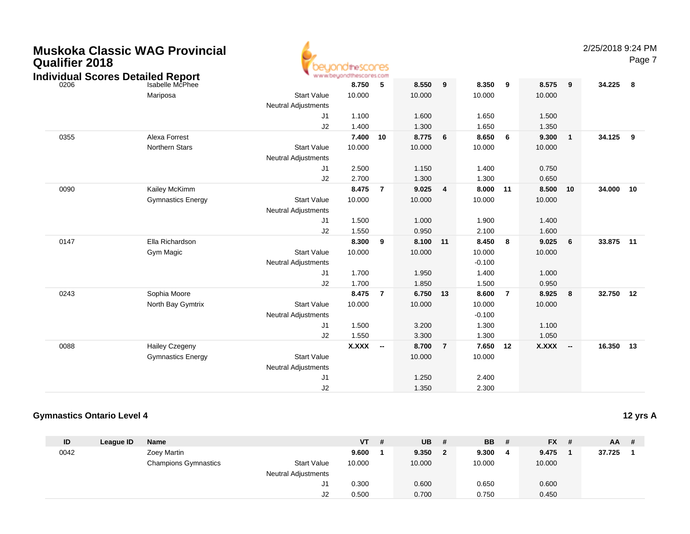| <b>Muskoka Classic WAG Provincial</b><br><b>Qualifier 2018</b><br><b>Individual Scores Detailed Report</b><br>Isabelle McPhee |                                                   |                                                                          | thescores<br>hescores.com         |                |                                   |                |                                               |                |                                   |                          | 2/25/2018 9:24 PM | Page 7 |
|-------------------------------------------------------------------------------------------------------------------------------|---------------------------------------------------|--------------------------------------------------------------------------|-----------------------------------|----------------|-----------------------------------|----------------|-----------------------------------------------|----------------|-----------------------------------|--------------------------|-------------------|--------|
|                                                                                                                               | Mariposa                                          | <b>Start Value</b><br><b>Neutral Adjustments</b>                         | 8.750<br>10.000                   | 5              | 8.550<br>10.000                   | 9              | 8.350<br>10.000                               | 9              | 8.575<br>10.000                   | 9                        | 34.225            | - 8    |
|                                                                                                                               |                                                   | J1<br>J2                                                                 | 1.100<br>1.400                    |                | 1.600<br>1.300                    |                | 1.650<br>1.650                                |                | 1.500<br>1.350                    |                          |                   |        |
| 0355                                                                                                                          | Alexa Forrest<br>Northern Stars                   | <b>Start Value</b><br><b>Neutral Adjustments</b>                         | 7.400<br>10.000                   | 10             | 8.775<br>10.000                   | 6              | 8.650<br>10.000                               | 6              | 9.300<br>10.000                   | $\mathbf{1}$             | 34.125            | 9      |
|                                                                                                                               |                                                   | J1<br>J2                                                                 | 2.500<br>2.700                    |                | 1.150<br>1.300                    |                | 1.400<br>1.300                                |                | 0.750<br>0.650                    |                          |                   |        |
| 0090                                                                                                                          | Kailey McKimm<br><b>Gymnastics Energy</b>         | <b>Start Value</b><br><b>Neutral Adjustments</b><br>J <sub>1</sub><br>J2 | 8.475<br>10.000<br>1.500<br>1.550 | $\overline{7}$ | 9.025<br>10.000<br>1.000<br>0.950 | $\overline{4}$ | 8.000<br>10.000<br>1.900<br>2.100             | 11             | 8.500<br>10.000<br>1.400<br>1.600 | 10                       | 34.000            | 10     |
| 0147                                                                                                                          | Ella Richardson<br>Gym Magic                      | <b>Start Value</b><br><b>Neutral Adjustments</b><br>J <sub>1</sub><br>J2 | 8.300<br>10.000<br>1.700<br>1.700 | 9              | 8.100<br>10.000<br>1.950<br>1.850 | 11             | 8.450<br>10.000<br>$-0.100$<br>1.400<br>1.500 | 8              | 9.025<br>10.000<br>1.000<br>0.950 | 6                        | 33.875 11         |        |
| 0243                                                                                                                          | Sophia Moore<br>North Bay Gymtrix                 | <b>Start Value</b><br><b>Neutral Adjustments</b><br>J1<br>J2             | 8.475<br>10.000<br>1.500<br>1.550 | $\overline{7}$ | 6.750<br>10.000<br>3.200<br>3.300 | 13             | 8.600<br>10.000<br>$-0.100$<br>1.300<br>1.300 | $\overline{7}$ | 8.925<br>10.000<br>1.100<br>1.050 | 8                        | 32.750            | 12     |
| 0088                                                                                                                          | <b>Hailey Czegeny</b><br><b>Gymnastics Energy</b> | <b>Start Value</b><br><b>Neutral Adjustments</b><br>J1<br>J2             | X.XXX --                          |                | 8.700<br>10.000<br>1.250<br>1.350 | $\overline{7}$ | 7.650<br>10.000<br>2.400<br>2.300             | 12             | X.XXX                             | $\overline{\phantom{a}}$ | 16.350 13         |        |

#### **Gymnastics Ontario Level 412 yrs A**

| ID   | League ID | <b>Name</b>                 |                            | <b>VT</b> | # | <b>UB</b> | # | <b>BB</b> | # | $FX$ # | $AA$ # |  |
|------|-----------|-----------------------------|----------------------------|-----------|---|-----------|---|-----------|---|--------|--------|--|
| 0042 |           | Zoey Martin                 |                            | 9.600     |   | 9.350     | 2 | 9.300     | 4 | 9.475  | 37.725 |  |
|      |           | <b>Champions Gymnastics</b> | <b>Start Value</b>         | 10.000    |   | 10.000    |   | 10.000    |   | 10.000 |        |  |
|      |           |                             | <b>Neutral Adjustments</b> |           |   |           |   |           |   |        |        |  |
|      |           |                             | ا ب                        | 0.300     |   | 0.600     |   | 0.650     |   | 0.600  |        |  |
|      |           |                             | J2                         | 0.500     |   | 0.700     |   | 0.750     |   | 0.450  |        |  |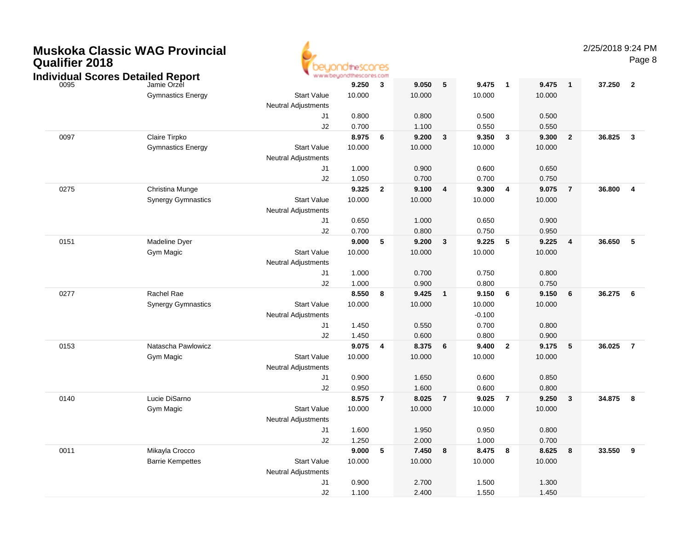| <b>Qualifier 2018</b> | MUSKOKA UJASSIC WAU PTOVINCIAI           |                            |                         |                |                 |                 |                 |                |                |                |        | Page                    |
|-----------------------|------------------------------------------|----------------------------|-------------------------|----------------|-----------------|-----------------|-----------------|----------------|----------------|----------------|--------|-------------------------|
|                       | <b>Individual Scores Detailed Report</b> |                            | www.beyondthescores.com |                |                 | $5\phantom{.0}$ |                 |                | 9.475          |                |        |                         |
| 0095                  | Jamie Orzel<br><b>Gymnastics Energy</b>  | <b>Start Value</b>         | 9.250<br>10.000         | 3              | 9.050<br>10.000 |                 | 9.475<br>10.000 | $\blacksquare$ | 10.000         | $\mathbf{1}$   | 37.250 | $\overline{\mathbf{2}}$ |
|                       |                                          | <b>Neutral Adjustments</b> | 0.800                   |                |                 |                 |                 |                |                |                |        |                         |
|                       |                                          | J1<br>J2                   | 0.700                   |                | 0.800<br>1.100  |                 | 0.500<br>0.550  |                | 0.500<br>0.550 |                |        |                         |
| 0097                  | Claire Tirpko                            |                            | 8.975                   | 6              | 9.200           | $\mathbf{3}$    | 9.350           | $\mathbf{3}$   | 9.300          | $\overline{2}$ | 36.825 | $\overline{\mathbf{3}}$ |
|                       | <b>Gymnastics Energy</b>                 | <b>Start Value</b>         | 10.000                  |                | 10.000          |                 | 10.000          |                | 10.000         |                |        |                         |
|                       |                                          | Neutral Adjustments        |                         |                |                 |                 |                 |                |                |                |        |                         |
|                       |                                          | J1                         | 1.000                   |                | 0.900           |                 | 0.600           |                | 0.650          |                |        |                         |
|                       |                                          | J2                         | 1.050                   |                | 0.700           |                 | 0.700           |                | 0.750          |                |        |                         |
| 0275                  | Christina Munge                          |                            | 9.325                   | $\mathbf{2}$   | 9.100           | 4               | 9.300           | $\overline{4}$ | 9.075          | $\overline{7}$ | 36.800 | $\overline{4}$          |
|                       | <b>Synergy Gymnastics</b>                | <b>Start Value</b>         | 10.000                  |                | 10.000          |                 | 10.000          |                | 10.000         |                |        |                         |
|                       |                                          | <b>Neutral Adjustments</b> |                         |                |                 |                 |                 |                |                |                |        |                         |
|                       |                                          | J1                         | 0.650                   |                | 1.000           |                 | 0.650           |                | 0.900          |                |        |                         |
|                       |                                          | J2                         | 0.700                   |                | 0.800           |                 | 0.750           |                | 0.950          |                |        |                         |
| 0151                  | Madeline Dyer                            |                            | 9.000                   | 5              | 9.200           | 3               | 9.225           | 5              | 9.225          | 4              | 36.650 | 5                       |
|                       | Gym Magic                                | <b>Start Value</b>         | 10.000                  |                | 10.000          |                 | 10.000          |                | 10.000         |                |        |                         |
|                       |                                          | <b>Neutral Adjustments</b> |                         |                |                 |                 |                 |                |                |                |        |                         |
|                       |                                          | J1<br>J2                   | 1.000<br>1.000          |                | 0.700<br>0.900  |                 | 0.750<br>0.800  |                | 0.800<br>0.750 |                |        |                         |
| 0277                  | Rachel Rae                               |                            | 8.550                   | 8              | 9.425           | $\mathbf{1}$    | 9.150           | 6              | 9.150          | 6              | 36.275 | 6                       |
|                       | <b>Synergy Gymnastics</b>                | <b>Start Value</b>         | 10.000                  |                | 10.000          |                 | 10.000          |                | 10.000         |                |        |                         |
|                       |                                          | <b>Neutral Adjustments</b> |                         |                |                 |                 | $-0.100$        |                |                |                |        |                         |
|                       |                                          | J1                         | 1.450                   |                | 0.550           |                 | 0.700           |                | 0.800          |                |        |                         |
|                       |                                          | J2                         | 1.450                   |                | 0.600           |                 | 0.800           |                | 0.900          |                |        |                         |
| 0153                  | Natascha Pawlowicz                       |                            | 9.075                   | 4              | 8.375           | 6               | 9.400           | $\overline{2}$ | 9.175          | ${\bf 5}$      | 36.025 | $\overline{7}$          |
|                       | Gym Magic                                | <b>Start Value</b>         | 10.000                  |                | 10.000          |                 | 10.000          |                | 10.000         |                |        |                         |
|                       |                                          | <b>Neutral Adjustments</b> |                         |                |                 |                 |                 |                |                |                |        |                         |
|                       |                                          | J <sub>1</sub>             | 0.900                   |                | 1.650           |                 | 0.600           |                | 0.850          |                |        |                         |
|                       |                                          | J2                         | 0.950                   |                | 1.600           |                 | 0.600           |                | 0.800          |                |        |                         |
| 0140                  | Lucie DiSarno                            |                            | 8.575                   | $\overline{7}$ | 8.025           | $\overline{7}$  | 9.025           | $\overline{7}$ | 9.250          | $\mathbf{3}$   | 34.875 | 8                       |
|                       | Gym Magic                                | <b>Start Value</b>         | 10.000                  |                | 10.000          |                 | 10.000          |                | 10.000         |                |        |                         |
|                       |                                          | <b>Neutral Adjustments</b> |                         |                |                 |                 |                 |                |                |                |        |                         |
|                       |                                          | J1                         | 1.600                   |                | 1.950           |                 | 0.950           |                | 0.800          |                |        |                         |
|                       |                                          | J2                         | 1.250                   |                | 2.000           |                 | 1.000           |                | 0.700          |                |        |                         |
| 0011                  | Mikayla Crocco                           |                            | 9.000                   | $\sqrt{5}$     | 7.450           | 8               | 8.475           | 8              | 8.625          | 8              | 33.550 | - 9                     |
|                       | <b>Barrie Kempettes</b>                  | <b>Start Value</b>         | 10.000                  |                | 10.000          |                 | 10.000          |                | 10.000         |                |        |                         |
|                       |                                          | <b>Neutral Adjustments</b> |                         |                |                 |                 |                 |                |                |                |        |                         |
|                       |                                          | J1                         | 0.900                   |                | 2.700           |                 | 1.500           |                | 1.300          |                |        |                         |
|                       |                                          | J2                         | 1.100                   |                | 2.400           |                 | 1.550           |                | 1.450          |                |        |                         |

# **Muskoka Classic WAG Provincial**

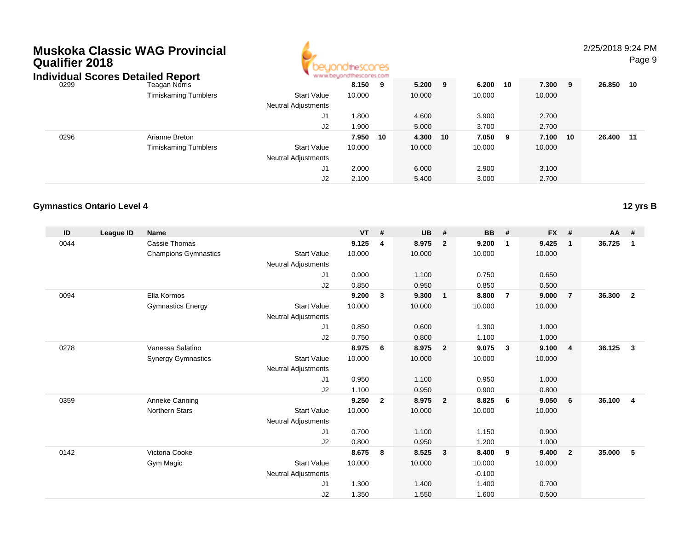| Qualifier 2018 | Muskoka Classic WAG Provincial<br><b>Individual Scores Detailed Report</b> |                                                  | ondthescores   |     |                |    |                |     |                |    | 2/25/2018 9:24 PM | Page 9 |
|----------------|----------------------------------------------------------------------------|--------------------------------------------------|----------------|-----|----------------|----|----------------|-----|----------------|----|-------------------|--------|
| 0299           | Teagan Norris                                                              |                                                  | 8.150          | - 9 | $5.200$ 9      |    | 6.200          | 10  | 7.300 9        |    | 26.850 10         |        |
|                | <b>Timiskaming Tumblers</b>                                                | <b>Start Value</b><br><b>Neutral Adjustments</b> | 10.000         |     | 10.000         |    | 10.000         |     | 10.000         |    |                   |        |
|                |                                                                            | J1<br>J2                                         | 1.800<br>1.900 |     | 4.600<br>5.000 |    | 3.900<br>3.700 |     | 2.700<br>2.700 |    |                   |        |
| 0296           | Arianne Breton                                                             |                                                  | 7.950          | 10  | 4.300          | 10 | 7.050          | - 9 | 7.100          | 10 | 26.400 11         |        |
|                | <b>Timiskaming Tumblers</b>                                                | <b>Start Value</b><br><b>Neutral Adjustments</b> | 10.000         |     | 10.000         |    | 10.000         |     | 10.000         |    |                   |        |
|                |                                                                            | J1                                               | 2.000          |     | 6.000          |    | 2.900          |     | 3.100          |    |                   |        |
|                |                                                                            | J2                                               | 2.100          |     | 5.400          |    | 3.000          |     | 2.700          |    |                   |        |

#### **Gymnastics Ontario Level 412 yrs B**

| ID   | <b>League ID</b> | <b>Name</b>                 |                            | $VT$ # |                | <b>UB</b> | #              | <b>BB</b> | #              | <b>FX</b> | #                       | $AA$ # |                |
|------|------------------|-----------------------------|----------------------------|--------|----------------|-----------|----------------|-----------|----------------|-----------|-------------------------|--------|----------------|
| 0044 |                  | Cassie Thomas               |                            | 9.125  | 4              | 8.975     | $\overline{2}$ | 9.200     | $\mathbf 1$    | 9.425     | $\mathbf{1}$            | 36.725 | $\mathbf{1}$   |
|      |                  | <b>Champions Gymnastics</b> | <b>Start Value</b>         | 10.000 |                | 10.000    |                | 10.000    |                | 10.000    |                         |        |                |
|      |                  |                             | Neutral Adjustments        |        |                |           |                |           |                |           |                         |        |                |
|      |                  |                             | J1                         | 0.900  |                | 1.100     |                | 0.750     |                | 0.650     |                         |        |                |
|      |                  |                             | J2                         | 0.850  |                | 0.950     |                | 0.850     |                | 0.500     |                         |        |                |
| 0094 |                  | Ella Kormos                 |                            | 9.200  | 3              | 9.300     | $\mathbf{1}$   | 8.800     | $\overline{7}$ | 9.000     | 7                       | 36.300 | $\overline{2}$ |
|      |                  | <b>Gymnastics Energy</b>    | <b>Start Value</b>         | 10.000 |                | 10.000    |                | 10.000    |                | 10.000    |                         |        |                |
|      |                  |                             | <b>Neutral Adjustments</b> |        |                |           |                |           |                |           |                         |        |                |
|      |                  |                             | J1                         | 0.850  |                | 0.600     |                | 1.300     |                | 1.000     |                         |        |                |
|      |                  |                             | J2                         | 0.750  |                | 0.800     |                | 1.100     |                | 1.000     |                         |        |                |
| 0278 |                  | Vanessa Salatino            |                            | 8.975  | 6              | 8.975     | $\overline{2}$ | 9.075     | $\mathbf{3}$   | 9.100     | $\overline{4}$          | 36.125 | $\mathbf{3}$   |
|      |                  | <b>Synergy Gymnastics</b>   | <b>Start Value</b>         | 10.000 |                | 10.000    |                | 10.000    |                | 10.000    |                         |        |                |
|      |                  |                             | <b>Neutral Adjustments</b> |        |                |           |                |           |                |           |                         |        |                |
|      |                  |                             | J1                         | 0.950  |                | 1.100     |                | 0.950     |                | 1.000     |                         |        |                |
|      |                  |                             | J2                         | 1.100  |                | 0.950     |                | 0.900     |                | 0.800     |                         |        |                |
| 0359 |                  | Anneke Canning              |                            | 9.250  | $\overline{2}$ | 8.975     | $\overline{2}$ | 8.825     | 6              | 9.050     | 6                       | 36.100 | $\overline{4}$ |
|      |                  | <b>Northern Stars</b>       | <b>Start Value</b>         | 10.000 |                | 10.000    |                | 10.000    |                | 10.000    |                         |        |                |
|      |                  |                             | Neutral Adjustments        |        |                |           |                |           |                |           |                         |        |                |
|      |                  |                             | J1                         | 0.700  |                | 1.100     |                | 1.150     |                | 0.900     |                         |        |                |
|      |                  |                             | J2                         | 0.800  |                | 0.950     |                | 1.200     |                | 1.000     |                         |        |                |
| 0142 |                  | Victoria Cooke              |                            | 8.675  | 8              | 8.525     | $\mathbf{3}$   | 8.400     | 9              | 9.400     | $\overline{\mathbf{2}}$ | 35,000 | 5              |
|      |                  | Gym Magic                   | <b>Start Value</b>         | 10.000 |                | 10.000    |                | 10.000    |                | 10.000    |                         |        |                |
|      |                  |                             | <b>Neutral Adjustments</b> |        |                |           |                | $-0.100$  |                |           |                         |        |                |
|      |                  |                             | J1                         | 1.300  |                | 1.400     |                | 1.400     |                | 0.700     |                         |        |                |
|      |                  |                             | J <sub>2</sub>             | 1.350  |                | 1.550     |                | 1.600     |                | 0.500     |                         |        |                |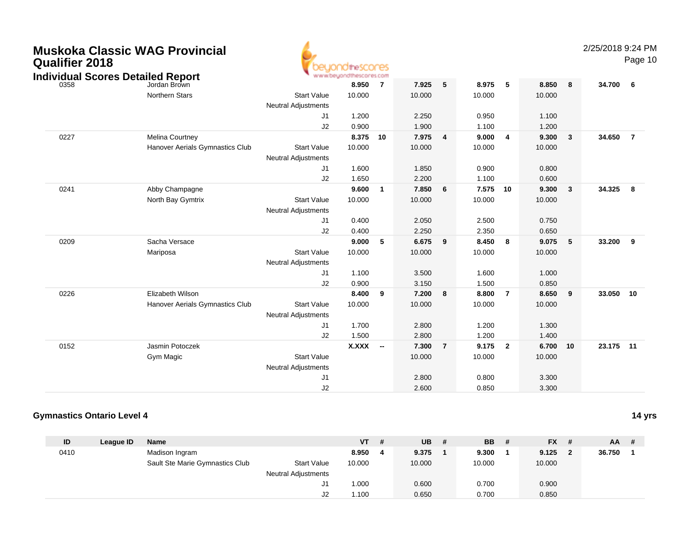| <b>Qualifier 2018</b> | <b>Muskoka Classic WAG Provincial</b><br><b>Individual Scores Detailed Report</b> |                                                  | peyondthescores<br>www.beyondthescores.com |                |        |                |        |                         |        |    | 2/25/2018 9:24 PM | Page 10                 |
|-----------------------|-----------------------------------------------------------------------------------|--------------------------------------------------|--------------------------------------------|----------------|--------|----------------|--------|-------------------------|--------|----|-------------------|-------------------------|
| 0358                  | Jordan Brown                                                                      |                                                  | 8.950                                      | $\overline{7}$ | 7.925  | 5              | 8.975  | 5                       | 8.850  | 8  | 34.700            | 6                       |
|                       | <b>Northern Stars</b>                                                             | <b>Start Value</b><br><b>Neutral Adjustments</b> | 10.000                                     |                | 10.000 |                | 10.000 |                         | 10.000 |    |                   |                         |
|                       |                                                                                   | J1                                               | 1.200                                      |                | 2.250  |                | 0.950  |                         | 1.100  |    |                   |                         |
|                       |                                                                                   | J2                                               | 0.900                                      |                | 1.900  |                | 1.100  |                         | 1.200  |    |                   |                         |
| 0227                  | Melina Courtney                                                                   |                                                  | 8.375                                      | 10             | 7.975  | 4              | 9.000  | 4                       | 9.300  | 3  | 34.650            | $\overline{7}$          |
|                       | Hanover Aerials Gymnastics Club                                                   | <b>Start Value</b><br><b>Neutral Adjustments</b> | 10.000                                     |                | 10.000 |                | 10.000 |                         | 10.000 |    |                   |                         |
|                       |                                                                                   | J1                                               | 1.600                                      |                | 1.850  |                | 0.900  |                         | 0.800  |    |                   |                         |
|                       |                                                                                   | J2                                               | 1.650                                      |                | 2.200  |                | 1.100  |                         | 0.600  |    |                   |                         |
| 0241                  | Abby Champagne                                                                    |                                                  | 9.600                                      | $\overline{1}$ | 7.850  | 6              | 7.575  | 10                      | 9.300  | 3  | 34.325            | $\overline{\mathbf{8}}$ |
|                       | North Bay Gymtrix                                                                 | <b>Start Value</b><br><b>Neutral Adjustments</b> | 10.000                                     |                | 10.000 |                | 10.000 |                         | 10.000 |    |                   |                         |
|                       |                                                                                   | J <sub>1</sub>                                   | 0.400                                      |                | 2.050  |                | 2.500  |                         | 0.750  |    |                   |                         |
|                       |                                                                                   | J2                                               | 0.400                                      |                | 2.250  |                | 2.350  |                         | 0.650  |    |                   |                         |
| 0209                  | Sacha Versace                                                                     |                                                  | 9.000                                      | 5              | 6.675  | 9              | 8.450  | 8                       | 9.075  | 5  | 33.200            | - 9                     |
|                       | Mariposa                                                                          | <b>Start Value</b><br><b>Neutral Adjustments</b> | 10.000                                     |                | 10.000 |                | 10.000 |                         | 10.000 |    |                   |                         |
|                       |                                                                                   | J1                                               | 1.100                                      |                | 3.500  |                | 1.600  |                         | 1.000  |    |                   |                         |
|                       |                                                                                   | J2                                               | 0.900                                      |                | 3.150  |                | 1.500  |                         | 0.850  |    |                   |                         |
| 0226                  | Elizabeth Wilson                                                                  |                                                  | 8.400                                      | 9              | 7.200  | 8              | 8.800  | $\overline{7}$          | 8.650  | 9  | 33.050 10         |                         |
|                       | Hanover Aerials Gymnastics Club                                                   | <b>Start Value</b>                               | 10.000                                     |                | 10.000 |                | 10.000 |                         | 10.000 |    |                   |                         |
|                       |                                                                                   | <b>Neutral Adjustments</b>                       |                                            |                |        |                |        |                         |        |    |                   |                         |
|                       |                                                                                   | J1                                               | 1.700                                      |                | 2.800  |                | 1.200  |                         | 1.300  |    |                   |                         |
|                       |                                                                                   | J2                                               | 1.500                                      |                | 2.800  |                | 1.200  |                         | 1.400  |    |                   |                         |
| 0152                  | Jasmin Potoczek                                                                   |                                                  | <b>X.XXX</b>                               | $\sim$         | 7.300  | $\overline{7}$ | 9.175  | $\overline{\mathbf{2}}$ | 6.700  | 10 | 23.175 11         |                         |
|                       | Gym Magic                                                                         | <b>Start Value</b>                               |                                            |                | 10.000 |                | 10.000 |                         | 10.000 |    |                   |                         |
|                       |                                                                                   | <b>Neutral Adjustments</b>                       |                                            |                |        |                |        |                         |        |    |                   |                         |
|                       |                                                                                   | J1                                               |                                            |                | 2.800  |                | 0.800  |                         | 3.300  |    |                   |                         |
|                       |                                                                                   | J2                                               |                                            |                | 2.600  |                | 0.850  |                         | 3.300  |    |                   |                         |

A

#### **Gymnastics Ontario Level 414 yrs**

| ID   | League ID | <b>Name</b>                     |                            | <b>VT</b> | -# | <b>UB</b> | <b>BB</b> | # | $FX$ # | $AA$ # |  |
|------|-----------|---------------------------------|----------------------------|-----------|----|-----------|-----------|---|--------|--------|--|
| 0410 |           | Madison Ingram                  |                            | 8.950     | -4 | 9.375     | 9.300     |   | 9.125  | 36.750 |  |
|      |           | Sault Ste Marie Gymnastics Club | <b>Start Value</b>         | 10.000    |    | 10.000    | 10.000    |   | 10.000 |        |  |
|      |           |                                 | <b>Neutral Adjustments</b> |           |    |           |           |   |        |        |  |
|      |           |                                 |                            | 1.000     |    | 0.600     | 0.700     |   | 0.900  |        |  |
|      |           |                                 |                            | 1.100     |    | 0.650     | 0.700     |   | 0.850  |        |  |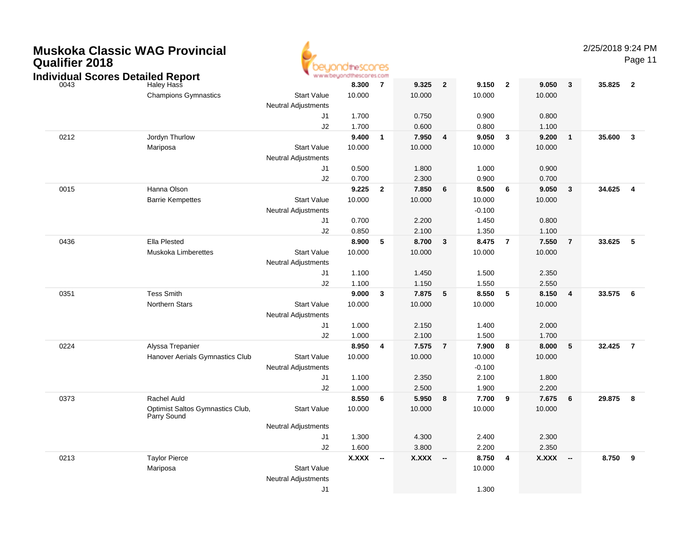|  | <b>Muskoka Classic WAG Provincial</b><br><b>Qualifier 2018</b><br><b>Individual Scores Detailed Report</b> |                                  |                            | www.beyondthescores.com |                          |        |                          |          |                         |        |                          | 2/25/2018 9:24 PM | Page 11                 |
|--|------------------------------------------------------------------------------------------------------------|----------------------------------|----------------------------|-------------------------|--------------------------|--------|--------------------------|----------|-------------------------|--------|--------------------------|-------------------|-------------------------|
|  | 0043                                                                                                       | <b>Haley Hass</b>                |                            | 8.300                   | $\overline{7}$           | 9.325  | $\overline{2}$           | 9.150    | $\overline{\mathbf{2}}$ | 9.050  | $\mathbf{3}$             | 35.825            | $\overline{\mathbf{2}}$ |
|  |                                                                                                            | <b>Champions Gymnastics</b>      | <b>Start Value</b>         | 10.000                  |                          | 10.000 |                          | 10.000   |                         | 10.000 |                          |                   |                         |
|  |                                                                                                            |                                  | <b>Neutral Adjustments</b> |                         |                          |        |                          |          |                         |        |                          |                   |                         |
|  |                                                                                                            |                                  | J1                         | 1.700                   |                          | 0.750  |                          | 0.900    |                         | 0.800  |                          |                   |                         |
|  |                                                                                                            |                                  | J2                         | 1.700                   |                          | 0.600  |                          | 0.800    |                         | 1.100  |                          |                   |                         |
|  | 0212                                                                                                       | Jordyn Thurlow                   |                            | 9.400                   | $\overline{1}$           | 7.950  | $\overline{4}$           | 9.050    | $\overline{\mathbf{3}}$ | 9.200  | $\mathbf{1}$             | 35.600            | $\mathbf{3}$            |
|  |                                                                                                            | Mariposa                         | <b>Start Value</b>         | 10.000                  |                          | 10.000 |                          | 10.000   |                         | 10.000 |                          |                   |                         |
|  |                                                                                                            |                                  | <b>Neutral Adjustments</b> |                         |                          |        |                          |          |                         |        |                          |                   |                         |
|  |                                                                                                            |                                  | J1                         | 0.500                   |                          | 1.800  |                          | 1.000    |                         | 0.900  |                          |                   |                         |
|  |                                                                                                            |                                  | J2                         | 0.700                   |                          | 2.300  |                          | 0.900    |                         | 0.700  |                          |                   |                         |
|  | 0015                                                                                                       | Hanna Olson                      |                            | 9.225                   | $\overline{2}$           | 7.850  | 6                        | 8.500    | 6                       | 9.050  | 3                        | 34.625            | $\overline{4}$          |
|  |                                                                                                            | <b>Barrie Kempettes</b>          | <b>Start Value</b>         | 10.000                  |                          | 10.000 |                          | 10.000   |                         | 10.000 |                          |                   |                         |
|  |                                                                                                            |                                  | <b>Neutral Adjustments</b> |                         |                          |        |                          | $-0.100$ |                         |        |                          |                   |                         |
|  |                                                                                                            |                                  | J <sub>1</sub>             | 0.700                   |                          | 2.200  |                          | 1.450    |                         | 0.800  |                          |                   |                         |
|  |                                                                                                            |                                  | J2                         | 0.850                   |                          | 2.100  |                          | 1.350    |                         | 1.100  |                          |                   |                         |
|  | 0436                                                                                                       | <b>Ella Plested</b>              |                            | 8.900                   | $\sqrt{5}$               | 8.700  | $\mathbf{3}$             | 8.475    | $\overline{7}$          | 7.550  | $\overline{7}$           | 33.625            | $-5$                    |
|  |                                                                                                            | Muskoka Limberettes              | <b>Start Value</b>         | 10.000                  |                          | 10.000 |                          | 10.000   |                         | 10.000 |                          |                   |                         |
|  |                                                                                                            |                                  | <b>Neutral Adjustments</b> |                         |                          |        |                          |          |                         |        |                          |                   |                         |
|  |                                                                                                            |                                  | J1                         | 1.100                   |                          | 1.450  |                          | 1.500    |                         | 2.350  |                          |                   |                         |
|  |                                                                                                            |                                  | J2                         | 1.100                   |                          | 1.150  |                          | 1.550    |                         | 2.550  |                          |                   |                         |
|  | 0351                                                                                                       | <b>Tess Smith</b>                |                            | 9.000                   | $\overline{\mathbf{3}}$  | 7.875  | 5                        | 8.550    | 5                       | 8.150  | 4                        | 33.575            | - 6                     |
|  |                                                                                                            | <b>Northern Stars</b>            | <b>Start Value</b>         | 10.000                  |                          | 10.000 |                          | 10.000   |                         | 10.000 |                          |                   |                         |
|  |                                                                                                            |                                  | Neutral Adjustments        |                         |                          |        |                          |          |                         |        |                          |                   |                         |
|  |                                                                                                            |                                  | J1                         | 1.000                   |                          | 2.150  |                          | 1.400    |                         | 2.000  |                          |                   |                         |
|  |                                                                                                            |                                  | J2                         | 1.000                   |                          | 2.100  |                          | 1.500    |                         | 1.700  |                          |                   |                         |
|  | 0224                                                                                                       | Alyssa Trepanier                 |                            | 8.950                   | $\overline{4}$           | 7.575  | $\overline{7}$           | 7.900    | 8                       | 8.000  | $\sqrt{5}$               | 32.425            | $\overline{7}$          |
|  |                                                                                                            | Hanover Aerials Gymnastics Club  | <b>Start Value</b>         | 10.000                  |                          | 10.000 |                          | 10.000   |                         | 10.000 |                          |                   |                         |
|  |                                                                                                            |                                  | Neutral Adjustments        |                         |                          |        |                          | $-0.100$ |                         |        |                          |                   |                         |
|  |                                                                                                            |                                  | J1                         | 1.100                   |                          | 2.350  |                          | 2.100    |                         | 1.800  |                          |                   |                         |
|  |                                                                                                            |                                  | J2                         | 1.000                   |                          | 2.500  |                          | 1.900    |                         | 2.200  |                          |                   |                         |
|  | 0373                                                                                                       | Rachel Auld                      |                            | 8.550                   | 6                        | 5.950  | 8                        | 7.700    | 9                       | 7.675  | 6                        | 29.875            | - 8                     |
|  |                                                                                                            | Optimist Saltos Gymnastics Club, | <b>Start Value</b>         | 10.000                  |                          | 10.000 |                          | 10.000   |                         | 10.000 |                          |                   |                         |
|  |                                                                                                            | Parry Sound                      |                            |                         |                          |        |                          |          |                         |        |                          |                   |                         |
|  |                                                                                                            |                                  | <b>Neutral Adjustments</b> |                         |                          |        |                          |          |                         |        |                          |                   |                         |
|  |                                                                                                            |                                  | J1                         | 1.300                   |                          | 4.300  |                          | 2.400    |                         | 2.300  |                          |                   |                         |
|  |                                                                                                            |                                  | J2                         | 1.600                   |                          | 3.800  |                          | 2.200    |                         | 2.350  |                          |                   |                         |
|  | 0213                                                                                                       | <b>Taylor Pierce</b>             |                            | X.XXX                   | $\overline{\phantom{a}}$ | X.XXX  | $\overline{\phantom{a}}$ | 8.750    | 4                       | X.XXX  | $\overline{\phantom{a}}$ | 8.750             | - 9                     |
|  |                                                                                                            | Mariposa                         | <b>Start Value</b>         |                         |                          |        |                          | 10.000   |                         |        |                          |                   |                         |
|  |                                                                                                            |                                  | <b>Neutral Adjustments</b> |                         |                          |        |                          |          |                         |        |                          |                   |                         |
|  |                                                                                                            |                                  | J <sub>1</sub>             |                         |                          |        |                          | 1.300    |                         |        |                          |                   |                         |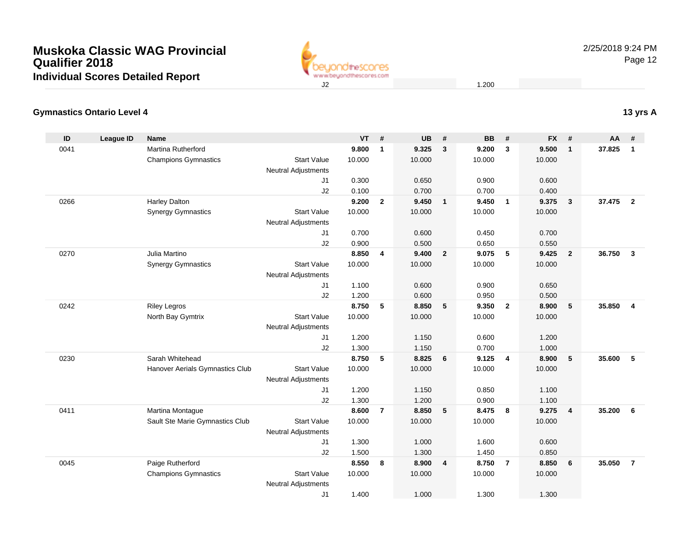

## **Gymnastics Ontario Level 4**

| ID   | <b>League ID</b> | <b>Name</b>                     |                                           | <b>VT</b> | #              | <b>UB</b> | #                       | <b>BB</b> | #              | <b>FX</b> | #               | AA     | #                       |
|------|------------------|---------------------------------|-------------------------------------------|-----------|----------------|-----------|-------------------------|-----------|----------------|-----------|-----------------|--------|-------------------------|
| 0041 |                  | Martina Rutherford              |                                           | 9.800     | $\mathbf{1}$   | 9.325     | $\mathbf{3}$            | 9.200     | $\mathbf{3}$   | 9.500     | $\mathbf{1}$    | 37.825 | $\overline{1}$          |
|      |                  | <b>Champions Gymnastics</b>     | <b>Start Value</b>                        | 10.000    |                | 10.000    |                         | 10.000    |                | 10.000    |                 |        |                         |
|      |                  |                                 | <b>Neutral Adjustments</b>                |           |                |           |                         |           |                |           |                 |        |                         |
|      |                  |                                 | J <sub>1</sub>                            | 0.300     |                | 0.650     |                         | 0.900     |                | 0.600     |                 |        |                         |
|      |                  |                                 | J2                                        | 0.100     |                | 0.700     |                         | 0.700     |                | 0.400     |                 |        |                         |
| 0266 |                  | <b>Harley Dalton</b>            |                                           | 9.200     | $\overline{2}$ | 9.450     | $\overline{\mathbf{1}}$ | 9.450     | $\mathbf{1}$   | 9.375     | $\mathbf{3}$    | 37.475 | $\overline{\mathbf{2}}$ |
|      |                  | <b>Synergy Gymnastics</b>       | <b>Start Value</b>                        | 10.000    |                | 10.000    |                         | 10.000    |                | 10.000    |                 |        |                         |
|      |                  |                                 | <b>Neutral Adjustments</b>                |           |                |           |                         |           |                |           |                 |        |                         |
|      |                  |                                 | J <sub>1</sub>                            | 0.700     |                | 0.600     |                         | 0.450     |                | 0.700     |                 |        |                         |
|      |                  |                                 | J2                                        | 0.900     |                | 0.500     |                         | 0.650     |                | 0.550     |                 |        |                         |
| 0270 |                  | Julia Martino                   |                                           | 8.850     | $\overline{4}$ | 9.400     | $\overline{2}$          | 9.075     | 5              | 9.425     | $\overline{2}$  | 36.750 | $\mathbf{3}$            |
|      |                  | <b>Synergy Gymnastics</b>       | <b>Start Value</b>                        | 10.000    |                | 10.000    |                         | 10.000    |                | 10.000    |                 |        |                         |
|      |                  |                                 | <b>Neutral Adjustments</b>                |           |                |           |                         |           |                |           |                 |        |                         |
|      |                  |                                 | J1                                        | 1.100     |                | 0.600     |                         | 0.900     |                | 0.650     |                 |        |                         |
|      |                  |                                 | J2                                        | 1.200     |                | 0.600     |                         | 0.950     |                | 0.500     |                 |        |                         |
| 0242 |                  | <b>Riley Legros</b>             |                                           | 8.750     | 5              | 8.850     | 5                       | 9.350     | $\overline{2}$ | 8.900     | $5\phantom{.0}$ | 35.850 | $\overline{4}$          |
|      |                  | North Bay Gymtrix               | <b>Start Value</b>                        | 10.000    |                | 10.000    |                         | 10.000    |                | 10.000    |                 |        |                         |
|      |                  |                                 | <b>Neutral Adjustments</b>                |           |                |           |                         |           |                |           |                 |        |                         |
|      |                  |                                 | J1                                        | 1.200     |                | 1.150     |                         | 0.600     |                | 1.200     |                 |        |                         |
|      |                  |                                 | J2                                        | 1.300     |                | 1.150     |                         | 0.700     |                | 1.000     |                 |        |                         |
| 0230 |                  | Sarah Whitehead                 |                                           | 8.750     | 5              | 8.825     | $6\phantom{1}6$         | 9.125     | $\overline{4}$ | 8.900     | $5\phantom{.0}$ | 35.600 | 5                       |
|      |                  | Hanover Aerials Gymnastics Club | <b>Start Value</b><br>Neutral Adjustments | 10.000    |                | 10.000    |                         | 10.000    |                | 10.000    |                 |        |                         |
|      |                  |                                 | J1                                        | 1.200     |                | 1.150     |                         | 0.850     |                | 1.100     |                 |        |                         |
|      |                  |                                 | J2                                        | 1.300     |                | 1.200     |                         | 0.900     |                | 1.100     |                 |        |                         |
| 0411 |                  | Martina Montague                |                                           | 8.600     | $\overline{7}$ | 8.850     | 5                       | 8.475     | 8              | 9.275     | $\overline{4}$  | 35.200 | 6                       |
|      |                  | Sault Ste Marie Gymnastics Club | <b>Start Value</b>                        | 10.000    |                | 10.000    |                         | 10.000    |                | 10.000    |                 |        |                         |
|      |                  |                                 | <b>Neutral Adjustments</b>                |           |                |           |                         |           |                |           |                 |        |                         |
|      |                  |                                 | J1                                        | 1.300     |                | 1.000     |                         | 1.600     |                | 0.600     |                 |        |                         |
|      |                  |                                 | J2                                        | 1.500     |                | 1.300     |                         | 1.450     |                | 0.850     |                 |        |                         |
| 0045 |                  | Paige Rutherford                |                                           | 8.550     | 8              | 8.900     | $\overline{4}$          | 8.750     | $\overline{7}$ | 8.850     | 6               | 35.050 | $\overline{7}$          |
|      |                  | <b>Champions Gymnastics</b>     | <b>Start Value</b>                        | 10.000    |                | 10.000    |                         | 10.000    |                | 10.000    |                 |        |                         |
|      |                  |                                 | <b>Neutral Adjustments</b>                |           |                |           |                         |           |                |           |                 |        |                         |
|      |                  |                                 | J1                                        | 1.400     |                | 1.000     |                         | 1.300     |                | 1.300     |                 |        |                         |

**13 yrs A**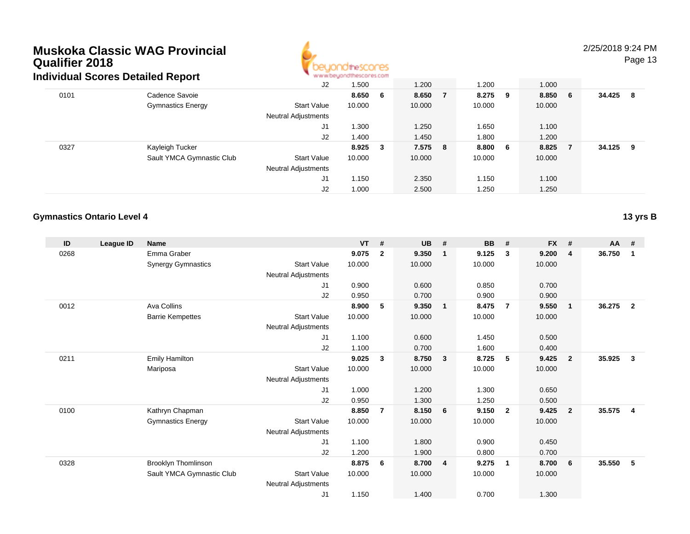

## 2/25/2018 9:24 PM

Page 13

|      | aividual Scores Detailed Report |                     | ALAI AI DIATA DA INTERNATI |              |         |     |         |         |        |     |
|------|---------------------------------|---------------------|----------------------------|--------------|---------|-----|---------|---------|--------|-----|
|      |                                 | J2                  | 1.500                      |              | 1.200   |     | 1.200   | 1.000   |        |     |
| 0101 | Cadence Savoie                  |                     | 8.650                      | - 6          | 8.650   | - 7 | 8.275 9 | 8.850 6 | 34.425 | - 8 |
|      | <b>Gymnastics Energy</b>        | <b>Start Value</b>  | 10.000                     |              | 10.000  |     | 10.000  | 10.000  |        |     |
|      |                                 | Neutral Adjustments |                            |              |         |     |         |         |        |     |
|      |                                 | J1                  | 1.300                      |              | 1.250   |     | 1.650   | 1.100   |        |     |
|      |                                 | J2                  | 1.400                      |              | 1.450   |     | 1.800   | 1.200   |        |     |
| 0327 | Kayleigh Tucker                 |                     | 8.925                      | $\mathbf{3}$ | 7.575 8 |     | 8.800 6 | 8.825   | 34.125 | - 9 |
|      | Sault YMCA Gymnastic Club       | <b>Start Value</b>  | 10.000                     |              | 10.000  |     | 10.000  | 10.000  |        |     |
|      |                                 | Neutral Adjustments |                            |              |         |     |         |         |        |     |
|      |                                 | J1                  | 1.150                      |              | 2.350   |     | 1.150   | 1.100   |        |     |
|      |                                 | J2                  | 1.000                      |              | 2.500   |     | 1.250   | 1.250   |        |     |

### **Gymnastics Ontario Level 4**

**13 yrs B**

| ID   | League ID | <b>Name</b>               |                            | <b>VT</b> | #              | <b>UB</b> | #                       | BB     | #                       | <b>FX</b> | #              | $AA$ # |                |
|------|-----------|---------------------------|----------------------------|-----------|----------------|-----------|-------------------------|--------|-------------------------|-----------|----------------|--------|----------------|
| 0268 |           | Emma Graber               |                            | 9.075     | $\overline{2}$ | 9.350     | $\overline{\mathbf{1}}$ | 9.125  | 3                       | 9.200     | 4              | 36.750 | $\mathbf 1$    |
|      |           | <b>Synergy Gymnastics</b> | <b>Start Value</b>         | 10.000    |                | 10.000    |                         | 10.000 |                         | 10.000    |                |        |                |
|      |           |                           | Neutral Adjustments        |           |                |           |                         |        |                         |           |                |        |                |
|      |           |                           | J1                         | 0.900     |                | 0.600     |                         | 0.850  |                         | 0.700     |                |        |                |
|      |           |                           | J <sub>2</sub>             | 0.950     |                | 0.700     |                         | 0.900  |                         | 0.900     |                |        |                |
| 0012 |           | Ava Collins               |                            | 8.900     | 5              | 9.350     | $\overline{\mathbf{1}}$ | 8.475  | $\overline{7}$          | 9.550     | $\mathbf{1}$   | 36.275 | $\overline{2}$ |
|      |           | <b>Barrie Kempettes</b>   | <b>Start Value</b>         | 10.000    |                | 10.000    |                         | 10.000 |                         | 10.000    |                |        |                |
|      |           |                           | Neutral Adjustments        |           |                |           |                         |        |                         |           |                |        |                |
|      |           |                           | J1                         | 1.100     |                | 0.600     |                         | 1.450  |                         | 0.500     |                |        |                |
|      |           |                           | J <sub>2</sub>             | 1.100     |                | 0.700     |                         | 1.600  |                         | 0.400     |                |        |                |
| 0211 |           | <b>Emily Hamilton</b>     |                            | 9.025     | 3              | 8.750     | $\overline{\mathbf{3}}$ | 8.725  | 5                       | 9.425     | $\overline{2}$ | 35.925 | 3              |
|      |           | Mariposa                  | <b>Start Value</b>         | 10.000    |                | 10.000    |                         | 10.000 |                         | 10.000    |                |        |                |
|      |           |                           | Neutral Adjustments        |           |                |           |                         |        |                         |           |                |        |                |
|      |           |                           | J1                         | 1.000     |                | 1.200     |                         | 1.300  |                         | 0.650     |                |        |                |
|      |           |                           | J <sub>2</sub>             | 0.950     |                | 1.300     |                         | 1.250  |                         | 0.500     |                |        |                |
| 0100 |           | Kathryn Chapman           |                            | 8.850     | $\overline{7}$ | 8.150     | - 6                     | 9.150  | $\overline{\mathbf{2}}$ | 9.425     | $\overline{2}$ | 35.575 | $\overline{4}$ |
|      |           | <b>Gymnastics Energy</b>  | <b>Start Value</b>         | 10.000    |                | 10.000    |                         | 10.000 |                         | 10.000    |                |        |                |
|      |           |                           | <b>Neutral Adjustments</b> |           |                |           |                         |        |                         |           |                |        |                |
|      |           |                           | J1                         | 1.100     |                | 1.800     |                         | 0.900  |                         | 0.450     |                |        |                |
|      |           |                           | J2                         | 1.200     |                | 1.900     |                         | 0.800  |                         | 0.700     |                |        |                |
| 0328 |           | Brooklyn Thomlinson       |                            | 8.875     | 6              | 8.700     | $\overline{4}$          | 9.275  | $\mathbf{1}$            | 8.700     | 6              | 35.550 | 5              |
|      |           | Sault YMCA Gymnastic Club | <b>Start Value</b>         | 10.000    |                | 10.000    |                         | 10.000 |                         | 10.000    |                |        |                |
|      |           |                           | <b>Neutral Adjustments</b> |           |                |           |                         |        |                         |           |                |        |                |
|      |           |                           | J <sub>1</sub>             | 1.150     |                | 1.400     |                         | 0.700  |                         | 1.300     |                |        |                |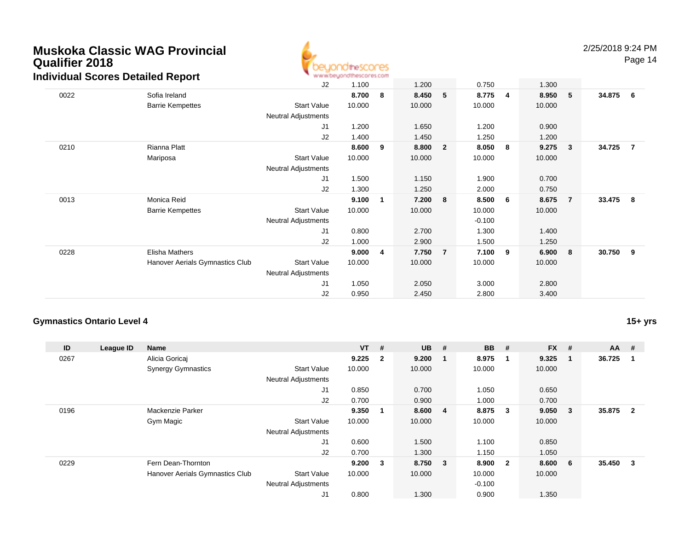

Page 14

| idividual occies Detailed Report |                                 |                            |        |             |        |                |          |   |        |                         |          |                |
|----------------------------------|---------------------------------|----------------------------|--------|-------------|--------|----------------|----------|---|--------|-------------------------|----------|----------------|
|                                  |                                 | J2                         | 1.100  |             | 1.200  |                | 0.750    |   | 1.300  |                         |          |                |
| 0022                             | Sofia Ireland                   |                            | 8.700  | 8           | 8.450  | 5              | 8.775    | 4 | 8.950  | 5 <sub>o</sub>          | 34.875   | 6              |
|                                  | <b>Barrie Kempettes</b>         | <b>Start Value</b>         | 10.000 |             | 10.000 |                | 10.000   |   | 10.000 |                         |          |                |
|                                  |                                 | <b>Neutral Adjustments</b> |        |             |        |                |          |   |        |                         |          |                |
|                                  |                                 | J <sub>1</sub>             | 1.200  |             | 1.650  |                | 1.200    |   | 0.900  |                         |          |                |
|                                  |                                 | J2                         | 1.400  |             | 1.450  |                | 1.250    |   | 1.200  |                         |          |                |
| 0210                             | Rianna Platt                    |                            | 8.600  | 9           | 8.800  | $\overline{2}$ | 8.050    | 8 | 9.275  | $\overline{\mathbf{3}}$ | 34.725   | $\overline{7}$ |
|                                  | Mariposa                        | <b>Start Value</b>         | 10.000 |             | 10.000 |                | 10.000   |   | 10.000 |                         |          |                |
|                                  |                                 | <b>Neutral Adjustments</b> |        |             |        |                |          |   |        |                         |          |                |
|                                  |                                 | J <sub>1</sub>             | 1.500  |             | 1.150  |                | 1.900    |   | 0.700  |                         |          |                |
|                                  |                                 | J <sub>2</sub>             | 1.300  |             | 1.250  |                | 2.000    |   | 0.750  |                         |          |                |
| 0013                             | Monica Reid                     |                            | 9.100  | $\mathbf 1$ | 7.200  | 8              | 8.500    | 6 | 8.675  | $\overline{7}$          | 33.475 8 |                |
|                                  | <b>Barrie Kempettes</b>         | <b>Start Value</b>         | 10.000 |             | 10.000 |                | 10.000   |   | 10.000 |                         |          |                |
|                                  |                                 | Neutral Adjustments        |        |             |        |                | $-0.100$ |   |        |                         |          |                |
|                                  |                                 | J1                         | 0.800  |             | 2.700  |                | 1.300    |   | 1.400  |                         |          |                |
|                                  |                                 | J2                         | 1.000  |             | 2.900  |                | 1.500    |   | 1.250  |                         |          |                |
| 0228                             | Elisha Mathers                  |                            | 9.000  | 4           | 7.750  | $\overline{7}$ | 7.100    | 9 | 6.900  | 8                       | 30.750   | - 9            |
|                                  | Hanover Aerials Gymnastics Club | <b>Start Value</b>         | 10.000 |             | 10.000 |                | 10.000   |   | 10.000 |                         |          |                |
|                                  |                                 | Neutral Adjustments        |        |             |        |                |          |   |        |                         |          |                |
|                                  |                                 | J1                         | 1.050  |             | 2.050  |                | 3.000    |   | 2.800  |                         |          |                |
|                                  |                                 | J2                         | 0.950  |             | 2.450  |                | 2.800    |   | 3.400  |                         |          |                |

## **Gymnastics Ontario Level 4**

**15+ yrs**

| ID   | League ID | <b>Name</b>                     |                            | $VT$ # |                | $UB$ #  | <b>BB</b> | #                       | <b>FX</b> | #                       | <b>AA</b> | #              |
|------|-----------|---------------------------------|----------------------------|--------|----------------|---------|-----------|-------------------------|-----------|-------------------------|-----------|----------------|
| 0267 |           | Alicia Goricaj                  |                            | 9.225  | $\overline{2}$ | 9.200   | 8.975     | $\overline{\mathbf{1}}$ | 9.325     | -1                      | 36.725    |                |
|      |           | <b>Synergy Gymnastics</b>       | <b>Start Value</b>         | 10.000 |                | 10.000  | 10.000    |                         | 10.000    |                         |           |                |
|      |           |                                 | <b>Neutral Adjustments</b> |        |                |         |           |                         |           |                         |           |                |
|      |           |                                 | J1                         | 0.850  |                | 0.700   | 1.050     |                         | 0.650     |                         |           |                |
|      |           |                                 | J2                         | 0.700  |                | 0.900   | 1.000     |                         | 0.700     |                         |           |                |
| 0196 |           | Mackenzie Parker                |                            | 9.350  | $\mathbf{1}$   | 8.600 4 | 8.875     | $\overline{\mathbf{3}}$ | 9.050     | $\overline{\mathbf{3}}$ | 35.875    | $\overline{2}$ |
|      |           | Gym Magic                       | <b>Start Value</b>         | 10.000 |                | 10.000  | 10.000    |                         | 10.000    |                         |           |                |
|      |           |                                 | <b>Neutral Adjustments</b> |        |                |         |           |                         |           |                         |           |                |
|      |           |                                 | J1                         | 0.600  |                | 1.500   | 1.100     |                         | 0.850     |                         |           |                |
|      |           |                                 | J2                         | 0.700  |                | 1.300   | 1.150     |                         | 1.050     |                         |           |                |
| 0229 |           | Fern Dean-Thornton              |                            | 9.200  | 3              | 8.750 3 | 8.900     | $\overline{\mathbf{2}}$ | 8.600     | - 6                     | 35.450    | 3              |
|      |           | Hanover Aerials Gymnastics Club | <b>Start Value</b>         | 10.000 |                | 10.000  | 10.000    |                         | 10.000    |                         |           |                |
|      |           |                                 | <b>Neutral Adjustments</b> |        |                |         | $-0.100$  |                         |           |                         |           |                |
|      |           |                                 | J <sub>1</sub>             | 0.800  |                | 1.300   | 0.900     |                         | 1.350     |                         |           |                |